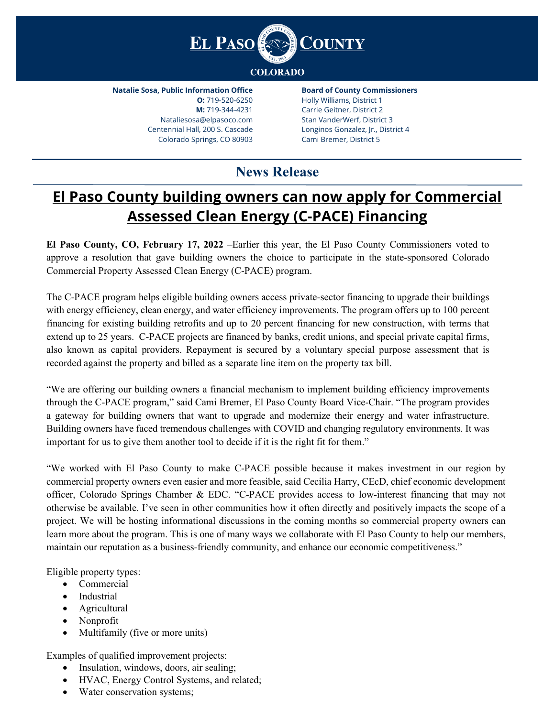

**Natalie Sosa, Public Information Office O:** 719-520-6250 **M:** 719-344-4231 Nataliesosa@elpasoco.com Centennial Hall, 200 S. Cascade Colorado Springs, CO 80903

**Board of County Commissioners** Holly Williams, District 1 Carrie Geitner, District 2 Stan VanderWerf, District 3 Longinos Gonzalez, Jr., District 4 Cami Bremer, District 5

## **News Release**

## **El Paso County building owners can now apply for Commercial Assessed Clean Energy (C-PACE) Financing**

**El Paso County, CO, February 17, 2022** –Earlier this year, the El Paso County Commissioners voted to approve a resolution that gave building owners the choice to participate in the state-sponsored Colorado Commercial Property Assessed Clean Energy (C-PACE) program.

The C-PACE program helps eligible building owners access private-sector financing to upgrade their buildings with energy efficiency, clean energy, and water efficiency improvements. The program offers up to 100 percent financing for existing building retrofits and up to 20 percent financing for new construction, with terms that extend up to 25 years. C-PACE projects are financed by banks, credit unions, and special private capital firms, also known as capital providers. Repayment is secured by a voluntary special purpose assessment that is recorded against the property and billed as a separate line item on the property tax bill.

"We are offering our building owners a financial mechanism to implement building efficiency improvements through the C-PACE program," said Cami Bremer, El Paso County Board Vice-Chair. "The program provides a gateway for building owners that want to upgrade and modernize their energy and water infrastructure. Building owners have faced tremendous challenges with COVID and changing regulatory environments. It was important for us to give them another tool to decide if it is the right fit for them."

"We worked with El Paso County to make C-PACE possible because it makes investment in our region by commercial property owners even easier and more feasible, said Cecilia Harry, CEcD, chief economic development officer, Colorado Springs Chamber & EDC. "C-PACE provides access to low-interest financing that may not otherwise be available. I've seen in other communities how it often directly and positively impacts the scope of a project. We will be hosting informational discussions in the coming months so commercial property owners can learn more about the program. This is one of many ways we collaborate with El Paso County to help our members, maintain our reputation as a business-friendly community, and enhance our economic competitiveness."

Eligible property types:

- Commercial
- Industrial
- Agricultural
- Nonprofit
- Multifamily (five or more units)

Examples of qualified improvement projects:

- Insulation, windows, doors, air sealing;
- HVAC, Energy Control Systems, and related;
- Water conservation systems;